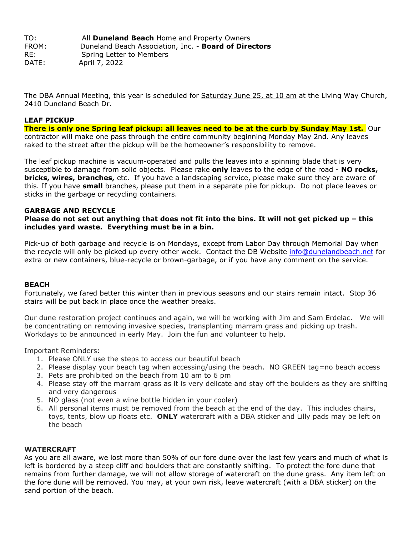TO: All **Duneland Beach** Home and Property Owners FROM: Duneland Beach Association, Inc. - **Board of Directors** RE: Spring Letter to Members DATE: April 7, 2022

The DBA Annual Meeting, this year is scheduled for **Saturday June 25, at 10 am at the Living Way Church**, 2410 Duneland Beach Dr.

# **LEAF PICKUP**

There is only one Spring leaf pickup: all leaves need to be at the curb by Sunday May 1st. Our contractor will make one pass through the entire community beginning Monday May 2nd. Any leaves raked to the street after the pickup will be the homeowner's responsibility to remove.

The leaf pickup machine is vacuum-operated and pulls the leaves into a spinning blade that is very susceptible to damage from solid objects. Please rake **only** leaves to the edge of the road - **NO rocks, bricks, wires, branches,** etc.If you have a landscaping service, please make sure they are aware of this. If you have **small** branches, please put them in a separate pile for pickup. Do not place leaves or sticks in the garbage or recycling containers.

## **GARBAGE AND RECYCLE**

# Please do not set out anything that does not fit into the bins. It will not get picked up - this **includes yard waste. Everything must be in a bin.**

Pick-up of both garbage and recycle is on Mondays, except from Labor Day through Memorial Day when the recycle will only be picked up every other week. Contact the DB Website [info@dunelandbeach.net](mailto:info@dunelandbeach.net) for extra or new containers, blue-recycle or brown-garbage, or if you have any comment on the service.

#### **BEACH**

Fortunately, we fared better this winter than in previous seasons and our stairs remain intact. Stop 36 stairs will be put back in place once the weather breaks.

Our dune restoration project continues and again, we will be working with Jim and Sam Erdelac. We will be concentrating on removing invasive species, transplanting marram grass and picking up trash. Workdays to be announced in early May. Join the fun and volunteer to help.

Important Reminders:

- 1. Please ONLY use the steps to access our beautiful beach
- 2. Please display your beach tag when accessing/using the beach. NO GREEN tag=no beach access
- 3. Pets are prohibited on the beach from 10 am to 6 pm
- 4. Please stay off the marram grass as it is very delicate and stay off the boulders as they are shifting and very dangerous
- 5. NO glass (not even a wine bottle hidden in your cooler)
- 6. All personal items must be removed from the beach at the end of the day. This includes chairs, toys, tents, blow up floats etc. **ONLY** watercraft with a DBA sticker and Lilly pads may be left on the beach

#### **WATERCRAFT**

As you are all aware, we lost more than 50% of our fore dune over the last few years and much of what is left is bordered by a steep cliff and boulders that are constantly shifting. To protect the fore dune that remains from further damage, we will not allow storage of watercraft on the dune grass. Any item left on the fore dune will be removed. You may, at your own risk, leave watercraft (with a DBA sticker) on the sand portion of the beach.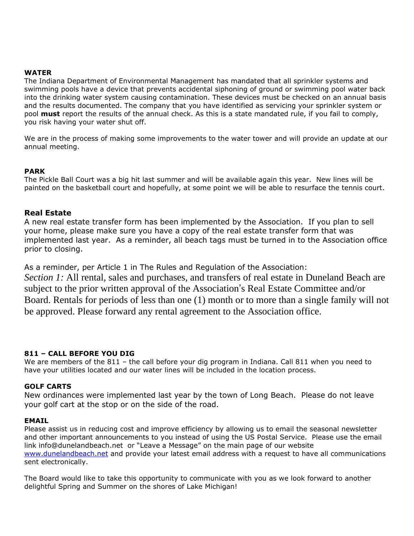## **WATER**

The Indiana Department of Environmental Management has mandated that all sprinkler systems and swimming pools have a device that prevents accidental siphoning of ground or swimming pool water back into the drinking water system causing contamination. These devices must be checked on an annual basis and the results documented. The company that you have identified as servicing your sprinkler system or pool **must** report the results of the annual check. As this is a state mandated rule, if you fail to comply, you risk having your water shut off.

We are in the process of making some improvements to the water tower and will provide an update at our annual meeting.

### **PARK**

The Pickle Ball Court was a big hit last summer and will be available again this year. New lines will be painted on the basketball court and hopefully, at some point we will be able to resurface the tennis court.

## **Real Estate**

A new real estate transfer form has been implemented by the Association. If you plan to sell your home, please make sure you have a copy of the real estate transfer form that was implemented last year. As a reminder, all beach tags must be turned in to the Association office prior to closing.

As a reminder, per Article 1 in The Rules and Regulation of the Association: *Section 1:* All rental, sales and purchases, and transfers of real estate in Duneland Beach are subject to the prior written approval of the Association's Real Estate Committee and/or Board. Rentals for periods of less than one (1) month or to more than a single family will not be approved. Please forward any rental agreement to the Association office.

## **811 – CALL BEFORE YOU DIG**

We are members of the 811 - the call before your dig program in Indiana. Call 811 when you need to have your utilities located and our water lines will be included in the location process.

### **GOLF CARTS**

New ordinances were implemented last year by the town of Long Beach. Please do not leave your golf cart at the stop or on the side of the road.

### **EMAIL**

Please assist us in reducing cost and improve efficiency by allowing us to email the seasonal newsletter and other important announcements to you instead of using the US Postal Service. Please use the email link info@dunelandbeach.net or "Leave a Message" on the main page of our website [www.dunelandbeach.net](http://www.dunelandbeach.net/) and provide your latest email address with a request to have all communications sent electronically.

The Board would like to take this opportunity to communicate with you as we look forward to another delightful Spring and Summer on the shores of Lake Michigan!